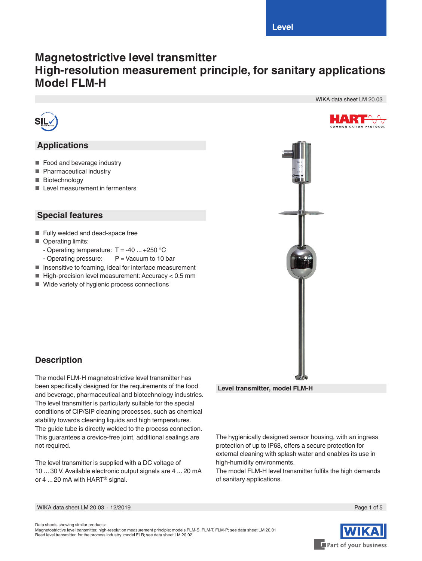WIKA data sheet LM 20.03

HART **MMUNICATION PROTOCOL** 

# **Magnetostrictive level transmitter High-resolution measurement principle, for sanitary applications Model FLM-H**



## **Applications**

- Food and beverage industry
- Pharmaceutical industry
- Biotechnology
- Level measurement in fermenters

#### **Special features**

- Fully welded and dead-space free
- Operating limits:
	- Operating temperature:  $T = -40$  ...  $+250$  °C
	- Operating pressure:  $P =$  Vacuum to 10 bar
- Insensitive to foaming, ideal for interface measurement
- $\blacksquare$  High-precision level measurement: Accuracy < 0.5 mm
- Wide variety of hygienic process connections



## **Description**

The model FLM-H magnetostrictive level transmitter has been specifically designed for the requirements of the food and beverage, pharmaceutical and biotechnology industries. The level transmitter is particularly suitable for the special conditions of CIP/SIP cleaning processes, such as chemical stability towards cleaning liquids and high temperatures. The guide tube is directly welded to the process connection. This guarantees a crevice-free joint, additional sealings are not required.

The level transmitter is supplied with a DC voltage of 10 ... 30 V. Available electronic output signals are 4 ... 20 mA or 4 ... 20 mA with HART<sup>®</sup> signal.



The hygienically designed sensor housing, with an ingress protection of up to IP68, offers a secure protection for external cleaning with splash water and enables its use in high-humidity environments.

The model FLM-H level transmitter fulfils the high demands of sanitary applications.

WIKA data sheet LM 20.03 ∙ 12/2019 Page 1 of 5



Data sheets showing similar products: Magnetostrictive level transmitter, high-resolution measurement principle; models FLM-S, FLM-T, FLM-P; see data sheet LM 20.01 Reed level transmitter, for the process industry; model FLR; see data sheet LM 20.02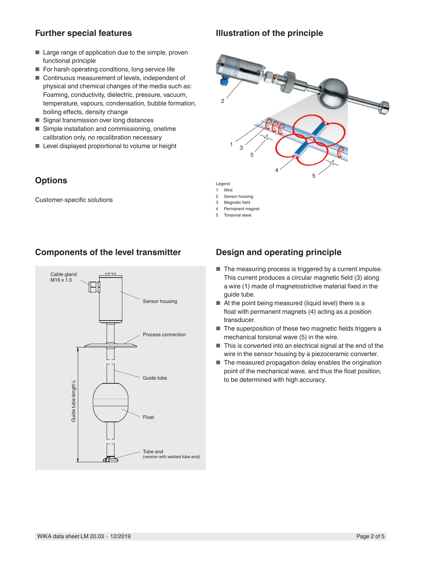#### **Further special features**

#### **Illustration of the principle**

- Large range of application due to the simple, proven functional principle
- For harsh operating conditions, long service life
- Continuous measurement of levels, independent of physical and chemical changes of the media such as: Foaming, conductivity, dielectric, pressure, vacuum, temperature, vapours, condensation, bubble formation, boiling effects, density change
- Signal transmission over long distances
- Simple installation and commissioning, onetime calibration only, no recalibration necessary
- Level displayed proportional to volume or height

## **Options**

Customer-specific solutions





# $\circ$ 5 3 4 1 5

Legend

- 1 Wire<br>2 Sens
- Sensor housing 3 Magnetic field
- 4 Permanent magnet
- 5 Torsional wave
- 

## **Design and operating principle**

- The measuring process is triggered by a current impulse. This current produces a circular magnetic field (3) along a wire (1) made of magnetostrictive material fixed in the guide tube.
- At the point being measured (liquid level) there is a float with permanent magnets (4) acting as a position transducer.
- The superposition of these two magnetic fields triggers a mechanical torsional wave (5) in the wire.
- This is converted into an electrical signal at the end of the wire in the sensor housing by a piezoceramic converter.
- The measured propagation delay enables the origination point of the mechanical wave, and thus the float position, to be determined with high accuracy.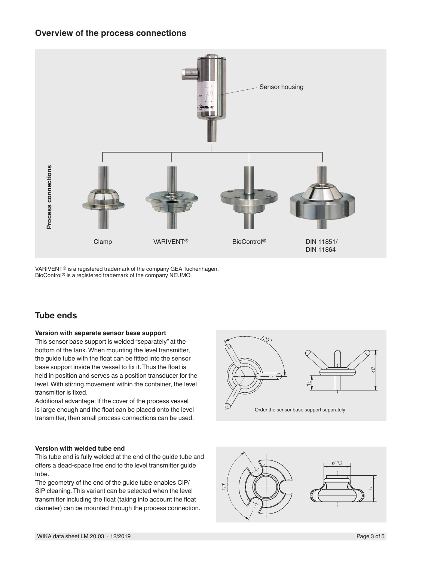#### **Overview of the process connections**



VARIVENT® is a registered trademark of the company GEA Tuchenhagen. BioControl® is a registered trademark of the company NEUMO.

## **Tube ends**

#### **Version with separate sensor base support**

This sensor base support is welded "separately" at the bottom of the tank. When mounting the level transmitter, the guide tube with the float can be fitted into the sensor base support inside the vessel to fix it. Thus the float is held in position and serves as a position transducer for the level. With stirring movement within the container, the level transmitter is fixed.

Additional advantage: If the cover of the process vessel is large enough and the float can be placed onto the level transmitter, then small process connections can be used.

#### **Version with welded tube end**

This tube end is fully welded at the end of the guide tube and offers a dead-space free end to the level transmitter guide tube.

The geometry of the end of the guide tube enables CIP/ SIP cleaning. This variant can be selected when the level transmitter including the float (taking into account the float diameter) can be mounted through the process connection.



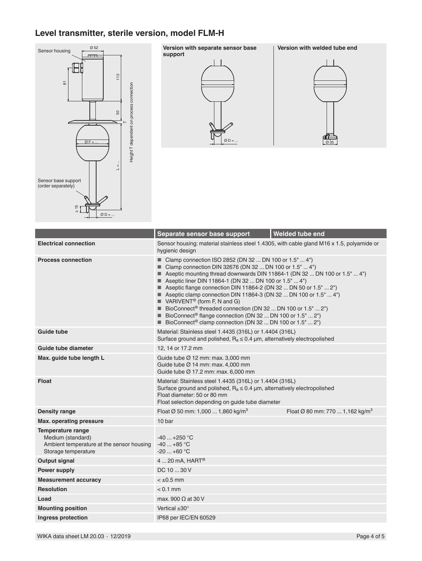# **Level transmitter, sterile version, model FLM-H**



|                                                                                                                   | Separate sensor base support                                                                                                                                                                                                                                                                                                                                                                                                                                                                                                                                                                                                                                                                       | Welded tube end                             |
|-------------------------------------------------------------------------------------------------------------------|----------------------------------------------------------------------------------------------------------------------------------------------------------------------------------------------------------------------------------------------------------------------------------------------------------------------------------------------------------------------------------------------------------------------------------------------------------------------------------------------------------------------------------------------------------------------------------------------------------------------------------------------------------------------------------------------------|---------------------------------------------|
| <b>Electrical connection</b>                                                                                      | Sensor housing: material stainless steel 1.4305, with cable gland M16 x 1.5, polyamide or<br>hygienic design                                                                                                                                                                                                                                                                                                                                                                                                                                                                                                                                                                                       |                                             |
| <b>Process connection</b>                                                                                         | ■ Clamp connection ISO 2852 (DN 32  DN 100 or $1.5$ "  4")<br>■ Clamp connection DIN 32676 (DN 32  DN 100 or 1.5"  4")<br>■ Aseptic mounting thread downwards DIN 11864-1 (DN 32  DN 100 or 1.5"  4")<br>Aseptic liner DIN 11864-1 (DN 32  DN 100 or 1.5"  4")<br>Aseptic flange connection DIN 11864-2 (DN 32  DN 50 or 1.5"  2")<br>Aseptic clamp connection DIN 11864-3 (DN 32  DN 100 or 1.5"  4")<br>$\blacksquare$ VARIVENT <sup>®</sup> (form F, N and G)<br>■ BioConnect <sup>®</sup> threaded connection (DN 32  DN 100 or 1.5"  2")<br>■ BioConnect <sup>®</sup> flange connection (DN 32  DN 100 or 1.5"  2")<br>■ BioConnect <sup>®</sup> clamp connection (DN 32  DN 100 or 1.5"  2") |                                             |
| Guide tube                                                                                                        | Material: Stainless steel 1.4435 (316L) or 1.4404 (316L)<br>Surface ground and polished, $R_a \le 0.4$ µm, alternatively electropolished                                                                                                                                                                                                                                                                                                                                                                                                                                                                                                                                                           |                                             |
| Guide tube diameter                                                                                               | 12, 14 or 17.2 mm                                                                                                                                                                                                                                                                                                                                                                                                                                                                                                                                                                                                                                                                                  |                                             |
| Max. guide tube length L                                                                                          | Guide tube $\varnothing$ 12 mm: max. 3,000 mm<br>Guide tube Ø 14 mm: max. 4,000 mm<br>Guide tube Ø 17.2 mm; max, 6,000 mm                                                                                                                                                                                                                                                                                                                                                                                                                                                                                                                                                                          |                                             |
| <b>Float</b>                                                                                                      | Material: Stainless steel 1.4435 (316L) or 1.4404 (316L)<br>Surface ground and polished, $R_a \le 0.4$ µm, alternatively electropolished<br>Float diameter: 50 or 80 mm<br>Float selection depending on guide tube diameter                                                                                                                                                                                                                                                                                                                                                                                                                                                                        |                                             |
| Density range                                                                                                     | Float Ø 50 mm: 1,000  1,860 kg/m <sup>3</sup>                                                                                                                                                                                                                                                                                                                                                                                                                                                                                                                                                                                                                                                      | Float Ø 80 mm: 770  1,162 kg/m <sup>3</sup> |
| Max. operating pressure                                                                                           | 10 bar                                                                                                                                                                                                                                                                                                                                                                                                                                                                                                                                                                                                                                                                                             |                                             |
| <b>Temperature range</b><br>Medium (standard)<br>Ambient temperature at the sensor housing<br>Storage temperature | $-40+250$ °C<br>$-40+85$ °C<br>$-20$ $+60$ °C                                                                                                                                                                                                                                                                                                                                                                                                                                                                                                                                                                                                                                                      |                                             |
| <b>Output signal</b>                                                                                              | $420$ mA, HART <sup>®</sup>                                                                                                                                                                                                                                                                                                                                                                                                                                                                                                                                                                                                                                                                        |                                             |
| Power supply                                                                                                      | DC 10  30 V                                                                                                                                                                                                                                                                                                                                                                                                                                                                                                                                                                                                                                                                                        |                                             |
| <b>Measurement accuracy</b>                                                                                       | $< \pm 0.5$ mm                                                                                                                                                                                                                                                                                                                                                                                                                                                                                                                                                                                                                                                                                     |                                             |
| <b>Resolution</b>                                                                                                 | $< 0.1$ mm                                                                                                                                                                                                                                                                                                                                                                                                                                                                                                                                                                                                                                                                                         |                                             |
| Load                                                                                                              | max, 900 $\Omega$ at 30 V                                                                                                                                                                                                                                                                                                                                                                                                                                                                                                                                                                                                                                                                          |                                             |
| <b>Mounting position</b>                                                                                          | Vertical $\pm 30^\circ$                                                                                                                                                                                                                                                                                                                                                                                                                                                                                                                                                                                                                                                                            |                                             |
| Ingress protection                                                                                                | IP68 per IEC/EN 60529                                                                                                                                                                                                                                                                                                                                                                                                                                                                                                                                                                                                                                                                              |                                             |